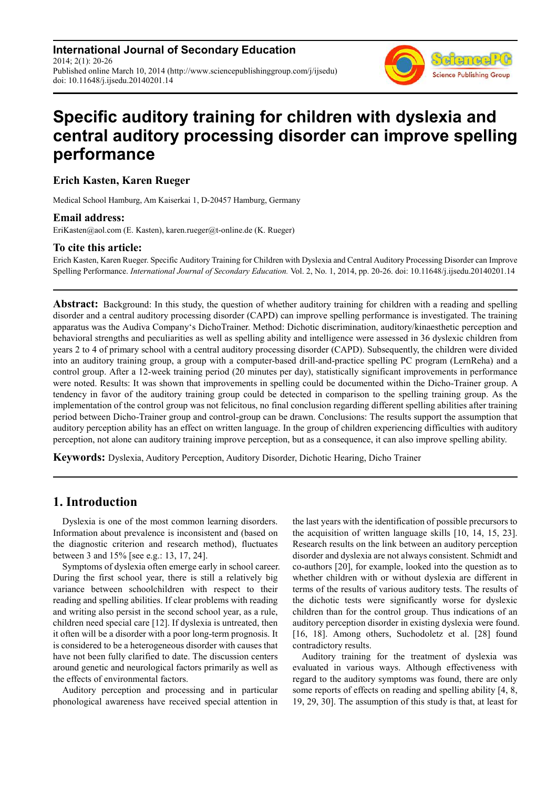**International Journal of Secondary Education** 2014; 2(1): 20-26 Published online March 10, 2014 (http://www.sciencepublishinggroup.com/j/ijsedu) doi: 10.11648/j.ijsedu.20140201.14

# **Specific auditory training for children with dyslexia and central auditory processing disorder can improve spelling**

Seitene **Science Publishing Group** 

#### **Erich Kasten, Karen Rueger**

**performance** 

Medical School Hamburg, Am Kaiserkai 1, D-20457 Hamburg, Germany

#### **Email address:**

EriKasten@aol.com (E. Kasten), karen.rueger@t-online.de (K. Rueger)

#### **To cite this article:**

Erich Kasten, Karen Rueger. Specific Auditory Training for Children with Dyslexia and Central Auditory Processing Disorder can Improve Spelling Performance. *International Journal of Secondary Education.* Vol. 2, No. 1, 2014, pp. 20-26. doi: 10.11648/j.ijsedu.20140201.14

**Abstract:** Background: In this study, the question of whether auditory training for children with a reading and spelling disorder and a central auditory processing disorder (CAPD) can improve spelling performance is investigated. The training apparatus was the Audiva Company's DichoTrainer. Method: Dichotic discrimination, auditory/kinaesthetic perception and behavioral strengths and peculiarities as well as spelling ability and intelligence were assessed in 36 dyslexic children from years 2 to 4 of primary school with a central auditory processing disorder (CAPD). Subsequently, the children were divided into an auditory training group, a group with a computer-based drill-and-practice spelling PC program (LernReha) and a control group. After a 12-week training period (20 minutes per day), statistically significant improvements in performance were noted. Results: It was shown that improvements in spelling could be documented within the Dicho-Trainer group. A tendency in favor of the auditory training group could be detected in comparison to the spelling training group. As the implementation of the control group was not felicitous, no final conclusion regarding different spelling abilities after training period between Dicho-Trainer group and control-group can be drawn. Conclusions: The results support the assumption that auditory perception ability has an effect on written language. In the group of children experiencing difficulties with auditory perception, not alone can auditory training improve perception, but as a consequence, it can also improve spelling ability.

**Keywords:** Dyslexia, Auditory Perception, Auditory Disorder, Dichotic Hearing, Dicho Trainer

#### **1. Introduction**

Dyslexia is one of the most common learning disorders. Information about prevalence is inconsistent and (based on the diagnostic criterion and research method), fluctuates between 3 and 15% [see e.g.: 13, 17, 24].

Symptoms of dyslexia often emerge early in school career. During the first school year, there is still a relatively big variance between schoolchildren with respect to their reading and spelling abilities. If clear problems with reading and writing also persist in the second school year, as a rule, children need special care [12]. If dyslexia is untreated, then it often will be a disorder with a poor long-term prognosis. It is considered to be a heterogeneous disorder with causes that have not been fully clarified to date. The discussion centers around genetic and neurological factors primarily as well as the effects of environmental factors.

Auditory perception and processing and in particular phonological awareness have received special attention in

the last years with the identification of possible precursors to the acquisition of written language skills [10, 14, 15, 23]. Research results on the link between an auditory perception disorder and dyslexia are not always consistent. Schmidt and co-authors [20], for example, looked into the question as to whether children with or without dyslexia are different in terms of the results of various auditory tests. The results of the dichotic tests were significantly worse for dyslexic children than for the control group. Thus indications of an auditory perception disorder in existing dyslexia were found. [16, 18]. Among others, Suchodoletz et al. [28] found contradictory results.

Auditory training for the treatment of dyslexia was evaluated in various ways. Although effectiveness with regard to the auditory symptoms was found, there are only some reports of effects on reading and spelling ability [4, 8, 19, 29, 30]. The assumption of this study is that, at least for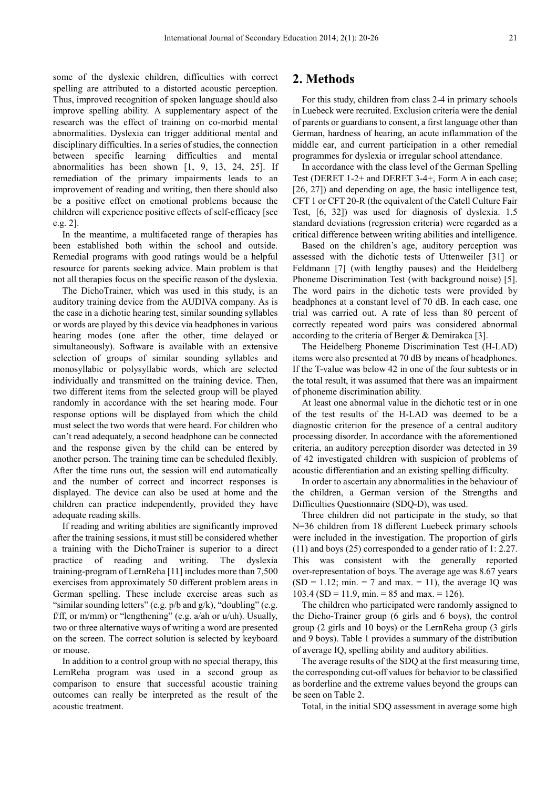some of the dyslexic children, difficulties with correct spelling are attributed to a distorted acoustic perception. Thus, improved recognition of spoken language should also improve spelling ability. A supplementary aspect of the research was the effect of training on co-morbid mental abnormalities. Dyslexia can trigger additional mental and disciplinary difficulties. In a series of studies, the connection between specific learning difficulties and mental abnormalities has been shown [1, 9, 13, 24, 25]. If remediation of the primary impairments leads to an improvement of reading and writing, then there should also be a positive effect on emotional problems because the children will experience positive effects of self-efficacy [see e.g. 2].

In the meantime, a multifaceted range of therapies has been established both within the school and outside. Remedial programs with good ratings would be a helpful resource for parents seeking advice. Main problem is that not all therapies focus on the specific reason of the dyslexia.

The DichoTrainer, which was used in this study, is an auditory training device from the AUDIVA company. As is the case in a dichotic hearing test, similar sounding syllables or words are played by this device via headphones in various hearing modes (one after the other, time delayed or simultaneously). Software is available with an extensive selection of groups of similar sounding syllables and monosyllabic or polysyllabic words, which are selected individually and transmitted on the training device. Then, two different items from the selected group will be played randomly in accordance with the set hearing mode. Four response options will be displayed from which the child must select the two words that were heard. For children who can't read adequately, a second headphone can be connected and the response given by the child can be entered by another person. The training time can be scheduled flexibly. After the time runs out, the session will end automatically and the number of correct and incorrect responses is displayed. The device can also be used at home and the children can practice independently, provided they have adequate reading skills.

If reading and writing abilities are significantly improved after the training sessions, it must still be considered whether a training with the DichoTrainer is superior to a direct practice of reading and writing. The dyslexia training-program of LernReha [11] includes more than 7,500 exercises from approximately 50 different problem areas in German spelling. These include exercise areas such as "similar sounding letters" (e.g.  $p/b$  and  $g/k$ ), "doubling" (e.g. f/ff, or m/mm) or "lengthening" (e.g.  $a$ /ah or  $u$ /uh). Usually, two or three alternative ways of writing a word are presented on the screen. The correct solution is selected by keyboard or mouse.

In addition to a control group with no special therapy, this LernReha program was used in a second group as comparison to ensure that successful acoustic training outcomes can really be interpreted as the result of the acoustic treatment.

## **2. Methods**

For this study, children from class 2-4 in primary schools in Luebeck were recruited. Exclusion criteria were the denial of parents or guardians to consent, a first language other than German, hardness of hearing, an acute inflammation of the middle ear, and current participation in a other remedial programmes for dyslexia or irregular school attendance.

In accordance with the class level of the German Spelling Test (DERET 1-2+ and DERET 3-4+, Form A in each case; [26, 27]) and depending on age, the basic intelligence test, CFT 1 or CFT 20-R (the equivalent of the Catell Culture Fair Test, [6, 32]) was used for diagnosis of dyslexia. 1.5 standard deviations (regression criteria) were regarded as a critical difference between writing abilities and intelligence.

Based on the children's age, auditory perception was assessed with the dichotic tests of Uttenweiler [31] or Feldmann [7] (with lengthy pauses) and the Heidelberg Phoneme Discrimination Test (with background noise) [5]. The word pairs in the dichotic tests were provided by headphones at a constant level of 70 dB. In each case, one trial was carried out. A rate of less than 80 percent of correctly repeated word pairs was considered abnormal according to the criteria of Berger & Demirakca [3].

The Heidelberg Phoneme Discrimination Test (H-LAD) items were also presented at 70 dB by means of headphones. If the T-value was below 42 in one of the four subtests or in the total result, it was assumed that there was an impairment of phoneme discrimination ability.

At least one abnormal value in the dichotic test or in one of the test results of the H-LAD was deemed to be a diagnostic criterion for the presence of a central auditory processing disorder. In accordance with the aforementioned criteria, an auditory perception disorder was detected in 39 of 42 investigated children with suspicion of problems of acoustic differentiation and an existing spelling difficulty.

In order to ascertain any abnormalities in the behaviour of the children, a German version of the Strengths and Difficulties Questionnaire (SDQ-D), was used.

Three children did not participate in the study, so that N=36 children from 18 different Luebeck primary schools were included in the investigation. The proportion of girls (11) and boys (25) corresponded to a gender ratio of 1: 2.27. This was consistent with the generally reported over-representation of boys. The average age was 8.67 years  $(SD = 1.12; min. = 7$  and max. = 11), the average IQ was 103.4 (SD = 11.9, min. = 85 and max. = 126).

The children who participated were randomly assigned to the Dicho-Trainer group (6 girls and 6 boys), the control group (2 girls and 10 boys) or the LernReha group (3 girls and 9 boys). Table 1 provides a summary of the distribution of average IQ, spelling ability and auditory abilities.

The average results of the SDQ at the first measuring time, the corresponding cut-off values for behavior to be classified as borderline and the extreme values beyond the groups can be seen on Table 2.

Total, in the initial SDQ assessment in average some high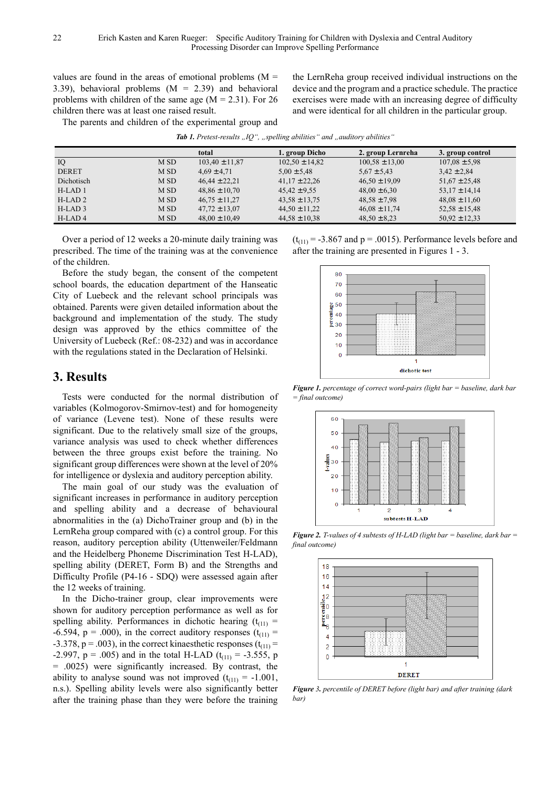values are found in the areas of emotional problems  $(M =$ 3.39), behavioral problems  $(M = 2.39)$  and behavioral problems with children of the same age  $(M = 2.31)$ . For 26 children there was at least one raised result.

the LernReha group received individual instructions on the device and the program and a practice schedule. The practice exercises were made with an increasing degree of difficulty and were identical for all children in the particular group.

The parents and children of the experimental group and

| <b>Tab 1.</b> Pretest-results "IQ", "spelling abilities" and "auditory abilities" |  |  |  |
|-----------------------------------------------------------------------------------|--|--|--|
|-----------------------------------------------------------------------------------|--|--|--|

|              |      | total              | 1. group Dicho     | 2. group Lernreha  | 3. group control  |
|--------------|------|--------------------|--------------------|--------------------|-------------------|
| IQ           | M SD | $103,40 \pm 11,87$ | $102,50 \pm 14,82$ | $100,58 \pm 13,00$ | $107.08 \pm 5.98$ |
| <b>DERET</b> | M SD | $4,69 \pm 4,71$    | $5.00 \pm 5.48$    | $5,67 \pm 5,43$    | $3,42 \pm 2,84$   |
| Dichotisch   | M SD | $46,44 \pm 22,21$  | $41,17 \pm 22,26$  | $46.50 \pm 19.09$  | $51,67 \pm 25,48$ |
| $H-LAD1$     | M SD | $48,86 \pm 10,70$  | $45,42 \pm 9,55$   | $48,00 \pm 6,30$   | $53.17 \pm 14.14$ |
| $H-LAD2$     | M SD | $46.75 \pm 11.27$  | $43.58 \pm 13.75$  | $48.58 \pm 7.98$   | $48.08 \pm 11.60$ |
| $H-LAD3$     | M SD | $47.72 \pm 13.07$  | $44,50 \pm 11,22$  | $46.08 \pm 11.74$  | $52,58 \pm 15,48$ |
| $H-LAD4$     | M SD | $48.00 \pm 10.49$  | $44,58 \pm 10,38$  | $48,50 \pm 8,23$   | $50.92 \pm 12.33$ |

Over a period of 12 weeks a 20-minute daily training was prescribed. The time of the training was at the convenience of the children.

Before the study began, the consent of the competent school boards, the education department of the Hanseatic City of Luebeck and the relevant school principals was obtained. Parents were given detailed information about the background and implementation of the study. The study design was approved by the ethics committee of the University of Luebeck (Ref.: 08-232) and was in accordance with the regulations stated in the Declaration of Helsinki.

# **3. Results**

Tests were conducted for the normal distribution of variables (Kolmogorov-Smirnov-test) and for homogeneity of variance (Levene test). None of these results were significant. Due to the relatively small size of the groups, variance analysis was used to check whether differences between the three groups exist before the training. No significant group differences were shown at the level of 20% for intelligence or dyslexia and auditory perception ability.

The main goal of our study was the evaluation of significant increases in performance in auditory perception and spelling ability and a decrease of behavioural abnormalities in the (a) DichoTrainer group and (b) in the LernReha group compared with (c) a control group. For this reason, auditory perception ability (Uttenweiler/Feldmann and the Heidelberg Phoneme Discrimination Test H-LAD), spelling ability (DERET, Form B) and the Strengths and Difficulty Profile (P4-16 - SDQ) were assessed again after the 12 weeks of training.

In the Dicho-trainer group, clear improvements were shown for auditory perception performance as well as for spelling ability. Performances in dichotic hearing  $(t_{(1)})$  = -6.594, p = .000), in the correct auditory responses  $(t<sub>(11)</sub>$  = -3.378, p = .003), in the correct kinaesthetic responses  $(t<sub>(11)</sub>$  = -2.997,  $p = .005$ ) and in the total H-LAD ( $t_{(11)} = -3.555$ , p = .0025) were significantly increased. By contrast, the ability to analyse sound was not improved  $(t_{(11)} = -1.001$ , n.s.). Spelling ability levels were also significantly better after the training phase than they were before the training  $(t<sub>(11)</sub> = -3.867$  and  $p = .0015)$ . Performance levels before and after the training are presented in Figures 1 - 3.



*Figure 1. percentage of correct word-pairs (light bar = baseline, dark bar = final outcome)* 



*Figure 2. T-values of 4 subtests of H-LAD (light bar = baseline, dark bar =*  $\frac{1}{2}$ *final outcome)* 



*Figure 3. percentile of DERET before (light bar) and after training (dark bar)*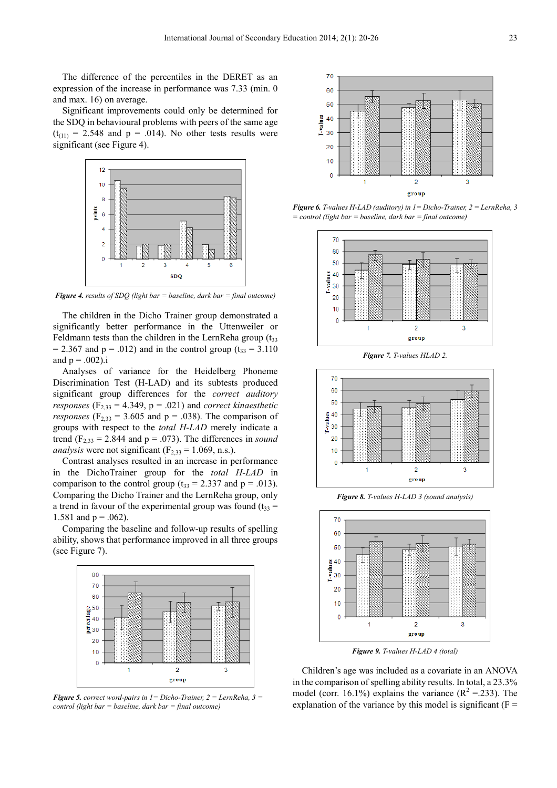The difference of the percentiles in the DERET as an expression of the increase in performance was 7.33 (min. 0 and max. 16) on average.

Significant improvements could only be determined for the SDQ in behavioural problems with peers of the same age  $(t<sub>(11)</sub> = 2.548$  and  $p = .014$ ). No other tests results were significant (see Figure 4).



*Figure 4. results of SDQ (light bar = baseline, dark bar = final outcome)* 

The children in the Dicho Trainer group demonstrated a significantly better performance in the Uttenweiler or Feldmann tests than the children in the LernReha group  $(t_{33})$  $= 2.367$  and p = .012) and in the control group (t<sub>33</sub> = 3.110) and  $p = .002$ ).i

Analyses of variance for the Heidelberg Phoneme Discrimination Test (H-LAD) and its subtests produced significant group differences for the *correct auditory responses*  $(F_{2,33} = 4.349, p = .021)$  and *correct kinaesthetic responses* ( $F_{2,33}$  = 3.605 and  $p = .038$ ). The comparison of groups with respect to the *total H-LAD* merely indicate a trend  $(F_{2,33} = 2.844$  and  $p = .073$ ). The differences in *sound analysis* were not significant  $(F_2, 33 = 1.069, n.s.).$ 

Contrast analyses resulted in an increase in performance in the DichoTrainer group for the *total H-LAD* in comparison to the control group ( $t_{33} = 2.337$  and  $p = .013$ ). Comparing the Dicho Trainer and the LernReha group, only a trend in favour of the experimental group was found  $(t_{33} =$ 1.581 and  $p = .062$ ).

Comparing the baseline and follow-up results of spelling ability, shows that performance improved in all three groups (see Figure 7).



*Figure 5. correct word-pairs in 1= Dicho-Trainer, 2 = LernReha, 3 = control (light bar = baseline, dark bar = final outcome)* 



*Figure 6. T-values H-LAD (auditory) in 1= Dicho-Trainer, 2 = LernReha, 3 = control (light bar = baseline, dark bar = final outcome)* 



*Figure 7. T-values HLAD 2.* 



*Figure 8. T-values H-LAD 3 (sound analysis)* 



*Figure 9. T-values H-LAD 4 (total)* 

Children's age was included as a covariate in an ANOVA in the comparison of spelling ability results. In total, a 23.3% model (corr. 16.1%) explains the variance  $(R^2 = 233)$ . The explanation of the variance by this model is significant  $(F =$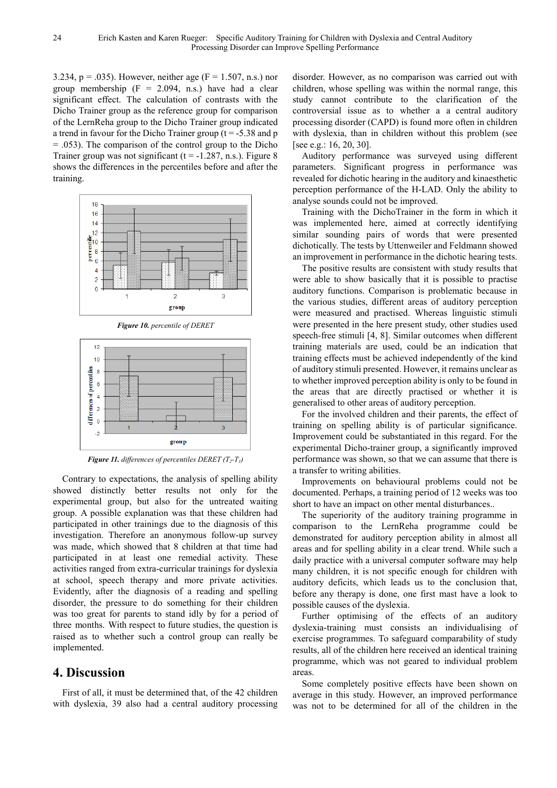3.234, p = .035). However, neither age ( $F = 1.507$ , n.s.) nor group membership  $(F = 2.094, n.s.)$  have had a clear significant effect. The calculation of contrasts with the Dicho Trainer group as the reference group for comparison of the LernReha group to the Dicho Trainer group indicated a trend in favour for the Dicho Trainer group ( $t = -5.38$  and p  $= .053$ ). The comparison of the control group to the Dicho Trainer group was not significant ( $t = -1.287$ , n.s.). Figure 8 shows the differences in the percentiles before and after the training.



*Figure 10. percentile of DERET* 



*Figure 11. differences of percentiles DERET (T2-T1)* 

Contrary to expectations, the analysis of spelling ability showed distinctly better results not only for the experimental group, but also for the untreated waiting group. A possible explanation was that these children had participated in other trainings due to the diagnosis of this investigation. Therefore an anonymous follow-up survey was made, which showed that 8 children at that time had participated in at least one remedial activity. These activities ranged from extra-curricular trainings for dyslexia at school, speech therapy and more private activities. Evidently, after the diagnosis of a reading and spelling disorder, the pressure to do something for their children was too great for parents to stand idly by for a period of three months. With respect to future studies, the question is raised as to whether such a control group can really be implemented.

#### **4. Discussion**

First of all, it must be determined that, of the 42 children with dyslexia, 39 also had a central auditory processing

disorder. However, as no comparison was carried out with children, whose spelling was within the normal range, this study cannot contribute to the clarification of the controversial issue as to whether a a central auditory processing disorder (CAPD) is found more often in children with dyslexia, than in children without this problem (see [see e.g.: 16, 20, 30].

Auditory performance was surveyed using different parameters. Significant progress in performance was revealed for dichotic hearing in the auditory and kinaesthetic perception performance of the H-LAD. Only the ability to analyse sounds could not be improved.

Training with the DichoTrainer in the form in which it was implemented here, aimed at correctly identifying similar sounding pairs of words that were presented dichotically. The tests by Uttenweiler and Feldmann showed an improvement in performance in the dichotic hearing tests.

The positive results are consistent with study results that were able to show basically that it is possible to practise auditory functions. Comparison is problematic because in the various studies, different areas of auditory perception were measured and practised. Whereas linguistic stimuli were presented in the here present study, other studies used speech-free stimuli [4, 8]. Similar outcomes when different training materials are used, could be an indication that training effects must be achieved independently of the kind of auditory stimuli presented. However, it remains unclear as to whether improved perception ability is only to be found in the areas that are directly practised or whether it is generalised to other areas of auditory perception.

For the involved children and their parents, the effect of training on spelling ability is of particular significance. Improvement could be substantiated in this regard. For the experimental Dicho-trainer group, a significantly improved performance was shown, so that we can assume that there is a transfer to writing abilities.

Improvements on behavioural problems could not be documented. Perhaps, a training period of 12 weeks was too short to have an impact on other mental disturbances..

The superiority of the auditory training programme in comparison to the LernReha programme could be demonstrated for auditory perception ability in almost all areas and for spelling ability in a clear trend. While such a daily practice with a universal computer software may help many children, it is not specific enough for children with auditory deficits, which leads us to the conclusion that, before any therapy is done, one first mast have a look to possible causes of the dyslexia.

Further optimising of the effects of an auditory dyslexia-training must consists an individualising of exercise programmes. To safeguard comparability of study results, all of the children here received an identical training programme, which was not geared to individual problem areas.

Some completely positive effects have been shown on average in this study. However, an improved performance was not to be determined for all of the children in the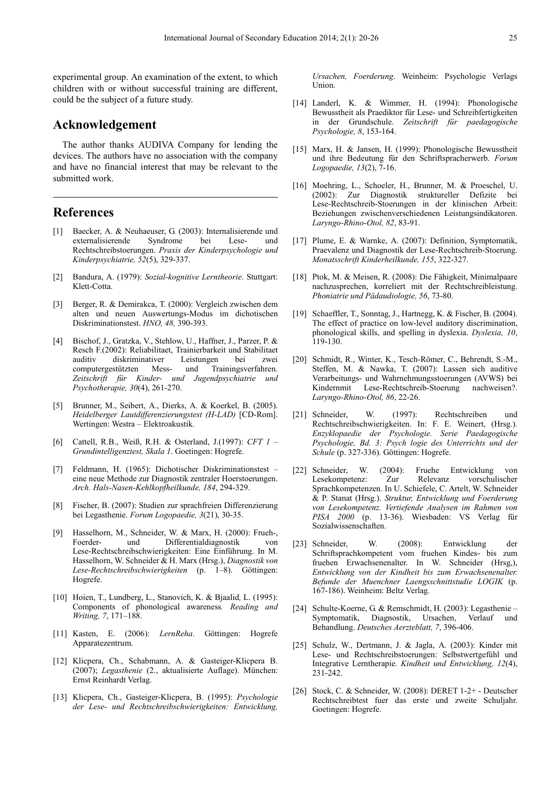experimental group. An examination of the extent, to which children with or without successful training are different, could be the subject of a future study.

## **Acknowledgement**

The author thanks AUDIVA Company for lending the devices. The authors have no association with the company and have no financial interest that may be relevant to the submitted work.

## **References**

- [1] Baecker, A. & Neuhaeuser, G. (2003): Internalisierende und externalisierende Syndrome bei Lese- und Rechtschreibstoerungen. *Praxis der Kinderpsychologie und Kinderpsychiatrie, 52*(5), 329-337.
- [2] Bandura, A. (1979): *Sozial-kognitive Lerntheorie*. Stuttgart: Klett-Cotta.
- [3] Berger, R. & Demirakca, T. (2000): Vergleich zwischen dem alten und neuen Auswertungs-Modus im dichotischen Diskriminationstest. *HNO, 48,* 390-393.
- [4] Bischof, J., Gratzka, V., Stehlow, U., Haffner, J., Parzer, P. & Resch F.(2002): Reliabilitaet, Trainierbarkeit und Stabilitaet auditiv diskriminativer Leistungen bei zwei computergestützten Mess- und Trainingsverfahren. *Zeitschrift für Kinder- und Jugendpsychiatrie und Psychotherapie, 30*(4), 261-270.
- [5] Brunner, M., Seibert, A., Dierks, A. & Koerkel, B. (2005). *Heidelberger Lautdifferenzierungstest (H-LAD)* [CD-Rom]. Wertingen: Westra – Elektroakustik.
- [6] Cattell, R.B., Weiß, R.H. & Osterland, J.(1997): *CFT 1 Grundintelligenztest, Skala 1*. Goetingen: Hogrefe.
- [7] Feldmann, H. (1965): Dichotischer Diskriminationstest eine neue Methode zur Diagnostik zentraler Hoerstoerungen. *Arch. Hals-Nasen-Kehlkopfheilkunde, 184*, 294-329.
- [8] Fischer, B. (2007): Studien zur sprachfreien Differenzierung bei Legasthenie. *Forum Logopaedie, 3*(21), 30-35.
- [9] Hasselhorn, M., Schneider, W. & Marx, H. (2000): Frueh-, Foerder- und Differentialdiagnostik von Lese-Rechtschreibschwierigkeiten: Eine Einführung. In M. Hasselhorn, W. Schneider & H. Marx (Hrsg.), *Diagnostik von Lese-Rechtschreibschwierigkeiten* (p. 1–8). Göttingen: Hogrefe.
- [10] Hoien, T., Lundberg, L., Stanovich, K. & Bjaalid*,* L. (1995): Components of phonological awareness*. Reading and Writing, 7*, 171–188.
- [11] Kasten, E. (2006): *LernReha*. Göttingen: Hogrefe Apparatezentrum.
- [12] Klicpera, Ch., Schabmann, A. & Gasteiger-Klicpera B. (2007); *Legasthenie* (2., aktualisierte Auflage). München: Ernst Reinhardt Verlag.
- [13] Klicpera, Ch., Gasteiger-Klicpera, B. (1995): *Psychologie der Lese- und Rechtschreibschwierigkeiten: Entwicklung,*

*Ursachen, Foerderung*. Weinheim: Psychologie Verlags Union.

- [14] Landerl, K. & Wimmer, H. (1994): Phonologische Bewusstheit als Praediktor für Lese- und Schreibfertigkeiten in der Grundschule. *Zeitschrift für paedagogische Psychologie, 8*, 153-164.
- [15] Marx, H. & Jansen, H. (1999): Phonologische Bewusstheit und ihre Bedeutung für den Schriftspracherwerb. *Forum Logopaedie, 13*(2), 7-16.
- [16] Moehring, L., Schoeler, H., Brunner, M. & Proeschel, U. (2002): Zur Diagnostik struktureller Defizite bei Lese-Rechtschreib-Stoerungen in der klinischen Arbeit: Beziehungen zwischenverschiedenen Leistungsindikatoren. *Laryngo-Rhino-Otol, 82*, 83-91.
- [17] Plume, E. & Warnke, A. (2007): Definition, Symptomatik, Praevalenz und Diagnostik der Lese-Rechtschreib-Stoerung. *Monatsschrift Kinderheilkunde, 155*, 322-327.
- [18] Ptok, M. & Meisen, R. (2008): Die Fähigkeit, Minimalpaare nachzusprechen, korreliert mit der Rechtschreibleistung. *Phoniatrie und Pädaudiologie, 56*, 73-80.
- [19] Schaeffler, T., Sonntag, J., Hartnegg, K. & Fischer, B. (2004). The effect of practice on low-level auditory discrimination, phonological skills, and spelling in dyslexia. *Dyslexia, 10*, 119-130.
- [20] Schmidt, R., Winter, K., Tesch-Römer, C., Behrendt, S.-M., Steffen, M. & Nawka, T. (2007): Lassen sich auditive Verarbeitungs- und Wahrnehmungsstoerungen (AVWS) bei Kindernmit Lese-Rechtschreib-Stoerung nachweisen?. *Laryngo-Rhino-Otol, 86*, 22-26.
- [21] Schneider, W. (1997): Rechtschreiben und Rechtschreibschwierigkeiten. In: F. E. Weinert, (Hrsg.). *Enzyklopaedie der Psychologie. Serie Paedagogische Psychologie, Bd. 3: Psych logie des Unterrichts und der Schule* (p. 327-336). Göttingen: Hogrefe.
- [22] Schneider, W. (2004): Fruehe Entwicklung von Lesekompetenz: Zur Relevanz vorschulischer Sprachkompetenzen. In U. Schiefele, C. Artelt, W. Schneider & P. Stanat (Hrsg.). *Struktur, Entwicklung und Foerderung von Lesekompetenz. Vertiefende Analysen im Rahmen von PISA 2000* (p. 13-36). Wiesbaden: VS Verlag für Sozialwissenschaften.
- [23] Schneider, W. (2008): Entwicklung der Schriftsprachkompetent vom fruehen Kindes- bis zum fruehen Erwachsenenalter. In W. Schneider (Hrsg,), *Entwicklung von der Kindheit bis zum Erwachsenenalter. Befunde der Muenchner Laengsschnittstudie LOGIK* (p. 167-186). Weinheim: Beltz Verlag.
- [24] Schulte-Koerne, G. & Remschmidt, H. (2003): Legasthenie Symptomatik, Diagnostik, Ursachen, Verlauf und Behandlung. *Deutsches Aerzteblatt, 7*, 396-406.
- [25] Schulz, W., Dertmann, J. & Jagla, A. (2003): Kinder mit Lese- und Rechtschreibstoerungen: Selbstwertgefühl und Integrative Lerntherapie. *Kindheit und Entwicklung, 12*(4), 231-242.
- [26] Stock, C. & Schneider, W. (2008): DERET 1-2+ Deutscher Rechtschreibtest fuer das erste und zweite Schuljahr. Goetingen: Hogrefe.